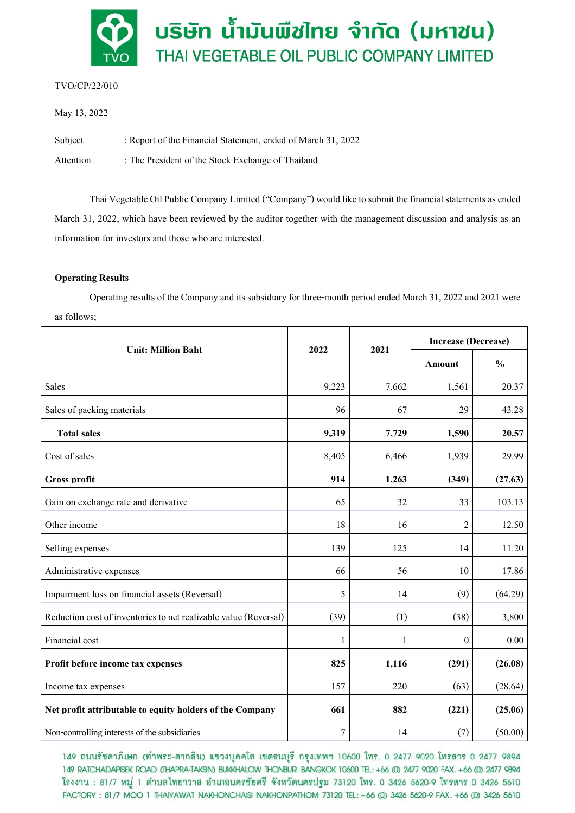

# TVO/CP/22/010

May 13, 2022

Subject : Report of the Financial Statement, ended of March 31, 2022

Attention : The President of the Stock Exchange of Thailand

Thai Vegetable Oil Public Company Limited("Company") would like to submit the financial statementsas ended March 31, 2022, which have been reviewed by the auditor together with the management discussion and analysis as an information for investors and those who are interested.

## **Operating Results**

Operating results of the Company and its subsidiary for three-month period ended March 31, 2022 and 2021 were as follows;

| <b>Unit: Million Baht</b>                                        | 2022           | 2021  | <b>Increase (Decrease)</b> |               |
|------------------------------------------------------------------|----------------|-------|----------------------------|---------------|
|                                                                  |                |       | Amount                     | $\frac{0}{0}$ |
| <b>Sales</b>                                                     | 9,223          | 7,662 | 1,561                      | 20.37         |
| Sales of packing materials                                       | 96             | 67    | 29                         | 43.28         |
| <b>Total sales</b>                                               | 9,319          | 7,729 | 1,590                      | 20.57         |
| Cost of sales                                                    | 8,405          | 6,466 | 1,939                      | 29.99         |
| <b>Gross profit</b>                                              | 914            | 1,263 | (349)                      | (27.63)       |
| Gain on exchange rate and derivative                             | 65             | 32    | 33                         | 103.13        |
| Other income                                                     | 18             | 16    | 2                          | 12.50         |
| Selling expenses                                                 | 139            | 125   | 14                         | 11.20         |
| Administrative expenses                                          | 66             | 56    | 10                         | 17.86         |
| Impairment loss on financial assets (Reversal)                   | 5              | 14    | (9)                        | (64.29)       |
| Reduction cost of inventories to net realizable value (Reversal) | (39)           | (1)   | (38)                       | 3,800         |
| Financial cost                                                   | 1              | 1     | $\theta$                   | 0.00          |
| Profit before income tax expenses                                | 825            | 1,116 | (291)                      | (26.08)       |
| Income tax expenses                                              | 157            | 220   | (63)                       | (28.64)       |
| Net profit attributable to equity holders of the Company         | 661            | 882   | (221)                      | (25.06)       |
| Non-controlling interests of the subsidiaries                    | $\overline{7}$ | 14    | (7)                        | (50.00)       |

149 ถนนรัชดาภิเษก (ท่าพระ-ตากสิน) แขวงบุคคโล เขตธนบุรี กรุงเทพฯ 10600 โทร. 0 2477 9020 โทรสาร 0 2477 9894 149 RATCHADAPISEK ROAD (THAPRA-TAKSIN) BUKKHALOW THONBURI BANGKOK 10600 TEL: +66 (0) 2477 9020 FAX. +66 (0) 2477 9894 โรงงาน : 81/7 หมู่ 1 ตำบลไทยาวาส อำเภอนครชัยศรี จังหวัดนครปฐม 73120 โทร. 0 3426 5620-9 โทรสาร 0 3426 5610 FACTORY: 81/7 MOO 1 THAIYAWAT NAKHONCHAISI NAKHONPATHOM 73120 TEL: +66 (0) 3426 5620-9 FAX. +66 (0) 3426 5610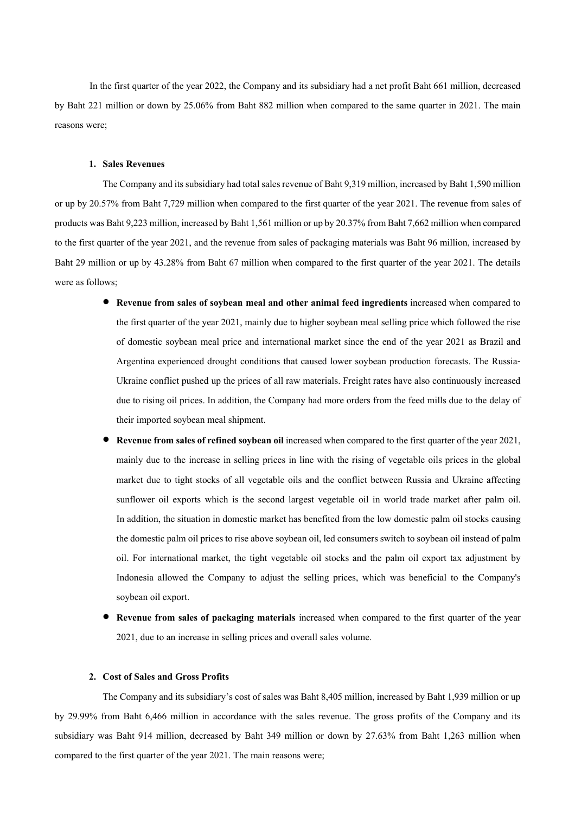In the first quarter of the year2022, the Company and its subsidiary had a net profit Baht661 million, decreased by Baht 221 million or down by 25.06% from Baht 882 million when compared to the same quarter in 2021. The main reasons were;

## **1. Sales Revenues**

The Company and its subsidiary had total sales revenue of Baht 9,319 million, increased by Baht 1,590 million or up by 20.57% from Baht 7,729 million when compared to the first quarter of the year 2021. The revenue from sales of products was Baht 9,223 million, increased by Baht 1,561 million or up by 20.37% from Baht 7,662 million when compared to the first quarter of the year 2021, and the revenue from sales of packaging materials was Baht 96 million, increased by Baht 29 million or up by 43.28% from Baht 67 million when compared to the first quarter of the year 2021. The details were as follows;

- **Revenue from sales of soybean meal and other animal feed ingredients** increased when compared to the first quarter of the year 2021, mainly due to higher soybean meal selling price which followed the rise of domestic soybean meal price and international market since the end of the year 2021 as Brazil and Argentina experienced drought conditions that caused lower soybean production forecasts. The Russia-Ukraine conflict pushed up the prices of all raw materials. Freight rates have also continuously increased due to rising oil prices. In addition, the Company had more orders from the feed mills due to the delay of their imported soybean meal shipment.
- **Revenue from sales of refined soybean oil increased when compared to the first quarter of the year 2021,** mainly due to the increase in selling prices in line with the rising of vegetable oils prices in the global market due to tight stocks of all vegetable oils and the conflict between Russia and Ukraine affecting sunflower oil exports which is the second largest vegetable oil in world trade market after palm oil. In addition, the situation in domestic market has benefited from the low domestic palm oil stocks causing the domestic palm oil prices to rise above soybean oil, led consumers switch to soybean oil instead of palm oil. For international market, the tight vegetable oil stocks and the palm oil export tax adjustment by Indonesia allowed the Company to adjust the selling prices, which was beneficial to the Company's soybean oil export.
- **Revenue from sales of packaging materials** increased when compared to the first quarter of the year 2021, due to an increase in selling prices and overall sales volume.

#### **2. Cost ofSales and Gross Profits**

The Company and its subsidiary's cost of sales was Baht 8,405 million, increased by Baht 1,939 million or up by 29.99% from Baht 6,466 million in accordance with the sales revenue. The gross profits of the Company and its subsidiary was Baht 914 million, decreased by Baht 349 million or down by 27.63% from Baht 1,263 million when compared to the first quarter of the year 2021. The main reasons were;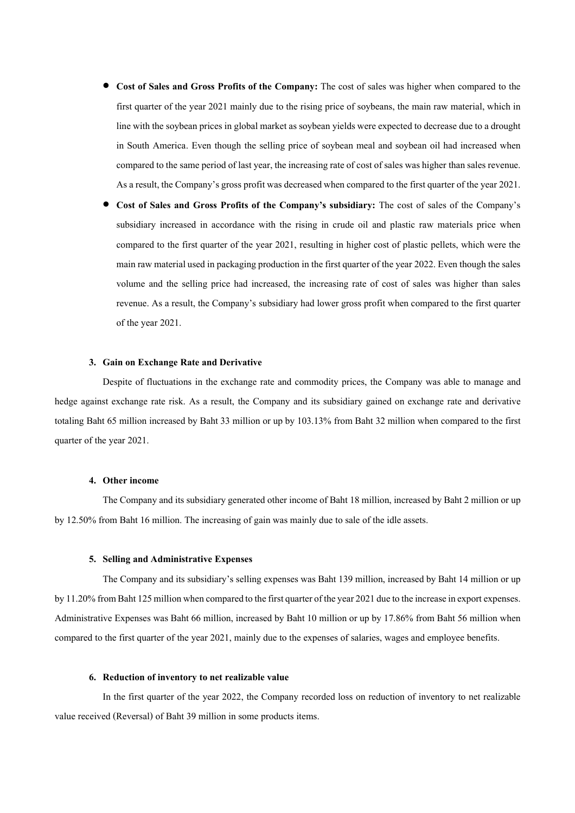- **Cost of Sales and Gross Profits of the Company:** The cost of sales was higher when compared to the first quarter of the year 2021 mainly due to the rising price of soybeans, the main raw material, which in line with the soybean prices in global market as soybean yields were expected to decrease due to a drought in South America. Even though the selling price of soybean meal and soybean oil had increased when compared to the same period of last year, the increasing rate of cost of sales was higher than sales revenue. As a result, the Company's gross profit was decreased when compared to the first quarter of the year 2021.
- **Cost of Sales and Gross Profits of the Company's subsidiary:** The cost of sales of the Company's subsidiary increased in accordance with the rising in crude oil and plastic raw materials price when compared to the first quarter of the year 2021, resulting in higher cost of plastic pellets, which were the main raw material used in packaging production in the first quarter of the year 2022. Even though the sales volume and the selling price had increased, the increasing rate of cost of sales was higher than sales revenue. As a result, the Company's subsidiary had lower gross profit when compared to the first quarter of the year 2021.

#### **3. Gainon Exchange Rate and Derivative**

Despite of fluctuations in the exchange rate and commodity prices, the Company was able to manage and hedge against exchange rate risk. As a result, the Company and its subsidiary gained on exchange rate and derivative totaling Baht 65 million increased by Baht 33 million or up by 103.13% from Baht 32 million when compared to the first quarter of the year 2021.

### **4. Other income**

The Company and its subsidiary generated other income of Baht 18 million, increased by Baht 2 million or up by 12.50% from Baht 16 million. The increasing of gain was mainly due to sale of the idle assets.

### **5. Selling and Administrative Expenses**

The Company and its subsidiary's selling expenses was Baht 139 million, increased by Baht 14 million or up by 11.20% from Baht 125 million when compared to the first quarter of the year 2021 due to the increase in export expenses. Administrative Expenses was Baht 66 million, increased by Baht 10 million or up by 17.86% from Baht 56 million when compared to the first quarter of the year 2021, mainly due to the expenses of salaries, wages and employee benefits.

### **6. Reductionof inventory tonet realizable value**

In the first quarter of the year 2022, the Company recorded loss on reduction of inventory to net realizable value received (Reversal) of Baht 39 million in some products items.